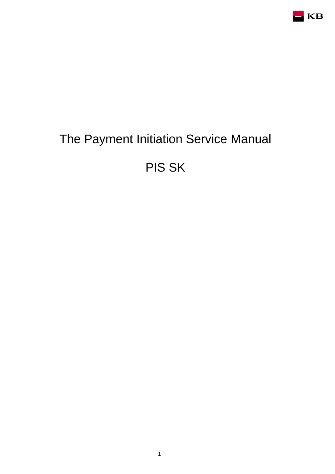

# The Payment Initiation Service Manual

PIS SK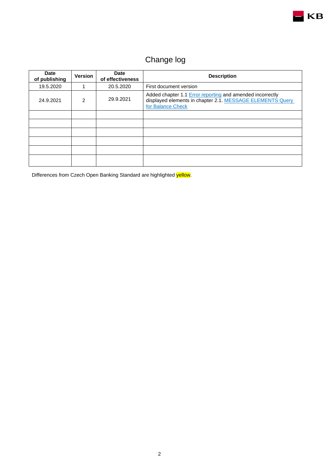

## Change log

| <b>Date</b><br>of publishing | <b>Version</b> | <b>Date</b><br>of effectiveness | <b>Description</b>                                                                                                                          |  |
|------------------------------|----------------|---------------------------------|---------------------------------------------------------------------------------------------------------------------------------------------|--|
| 19.5.2020                    |                | 20.5.2020                       | First document version                                                                                                                      |  |
| 24.9.2021                    | $\overline{2}$ | 29.9.2021                       | Added chapter 1.1 Error reporting and amended incorrectly<br>displayed elements in chapter 2.1. MESSAGE ELEMENTS Query<br>for Balance Check |  |
|                              |                |                                 |                                                                                                                                             |  |
|                              |                |                                 |                                                                                                                                             |  |
|                              |                |                                 |                                                                                                                                             |  |
|                              |                |                                 |                                                                                                                                             |  |
|                              |                |                                 |                                                                                                                                             |  |
|                              |                |                                 |                                                                                                                                             |  |

Differences from Czech Open Banking Standard are highlighted yellow.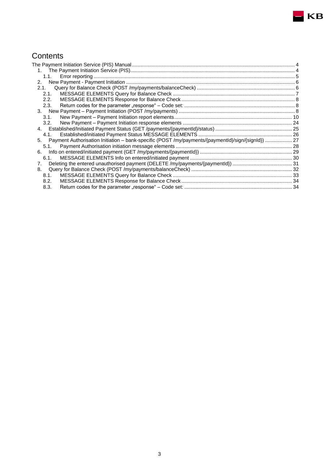## **Contents**

| 1.1.                                                                                                 |  |
|------------------------------------------------------------------------------------------------------|--|
| 2.                                                                                                   |  |
| 2.1.                                                                                                 |  |
| 2.1.                                                                                                 |  |
| 2.2.                                                                                                 |  |
| 2.3.                                                                                                 |  |
|                                                                                                      |  |
| 3.1.                                                                                                 |  |
| 3.2.                                                                                                 |  |
|                                                                                                      |  |
| 4.1.                                                                                                 |  |
| 5. Payment Authorisation Initiation - bank-specific (POST/my/payments/{paymentId}/sign/{signId})  27 |  |
| 5.1.                                                                                                 |  |
| 6.                                                                                                   |  |
| 6.1.                                                                                                 |  |
| 7.                                                                                                   |  |
| 8.                                                                                                   |  |
| 8.1.                                                                                                 |  |
| 8.2.                                                                                                 |  |
| 8.3.                                                                                                 |  |

 $\blacksquare$ KB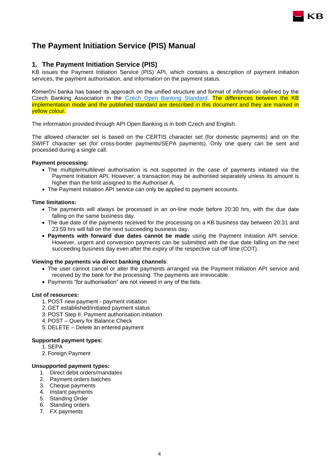## <span id="page-3-0"></span>**The Payment Initiation Service (PIS) Manual**

#### <span id="page-3-1"></span>**1. The Payment Initiation Service (PIS)**

KB issues the Payment Initiation Service (PIS) API, which contains a description of payment initiation services, the payment authorisation, and information on the payment status.

KB

Komerční banka has based its approach on the unified structure and format of information defined by the Czech Banking Association in the [Czech Open Banking Standard.](https://github.com/Czech-BA/COBS/) The differences between the KB implementation mode and the published standard are described in this document and they are marked in yellow colour.

The information provided through API Open Banking is in both Czech and English.

The allowed character set is based on the CERTIS character set (for domestic payments) and on the SWIFT character set (for cross-border payments/SEPA payments). Only one query can be sent and processed during a single call.

#### **Payment processing:**

- The multiple/multilevel authorisation is not supported in the case of payments initiated via the Payment Initiation API. However, a transaction may be authorised separately unless its amount is higher than the limit assigned to the Authoriser A.
- The Payment Initiation API service can only be applied to payment accounts.

#### **Time limitations:**

- The payments will always be processed in an on-line mode before 20:30 hrs, with the due date falling on the same business day.
- The due date of the payments received for the processing on a KB business day between 20:31 and 23:59 hrs will fall on the next succeeding business day.
- **Payments with forward due dates cannot be made** using the Payment Initiation API service. However, urgent and conversion payments can be submitted with the due date falling on the next succeeding business day even after the expiry of the respective cut-off time (COT).

#### **Viewing the payments via direct banking channels**:

- The user cannot cancel or alter the payments arranged via the Payment Initiation API service and received by the bank for the processing. The payments are irrevocable.
- Payments "for authorisation" are not viewed in any of the lists.

#### **List of resources:**

- 1. POST new payment payment initiation
- 2. GET established/initiated payment status
- 3. POST Step II. Payment authorisation initiation
- 4. POST Query for Balance Check
- 5. DELETE Delete an entered payment

#### **Supported payment types:**

- 1. SEPA
- 2. Foreign Payment

#### **Unsupported payment types:**

- 1. Direct debit orders/mandates
- 2. Payment orders batches
- 3. Cheque payments
- 4. Instant payments
- 5. Standing Order
- 6. Standing orders
- 7. FX payments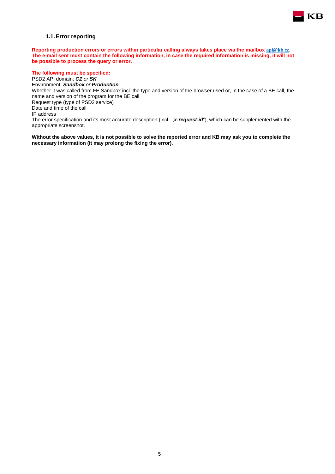

#### **1.1.Error reporting**

<span id="page-4-0"></span>**Reporting production errors or errors within particular calling always takes place via the mailbox [api@kb.cz](mailto:api@kb.cz). The e-mail sent must contain the following information, in case the required information is missing, it will not be possible to process the query or error.**

#### **The following must be specified:**

PSD2 API domain: *CZ or SK* Environment: *Sandbox or Production* Whether it was called from FE Sandbox incl. the type and version of the browser used or, in the case of a BE call, the name and version of the program for the BE call Request type (type of PSD2 service) Date and time of the call IP address The error specification and its most accurate description (incl.. "x-request-id"), which can be supplemented with the appropriate screenshot.

**Without the above values, it is not possible to solve the reported error and KB may ask you to complete the necessary information (it may prolong the fixing the error).**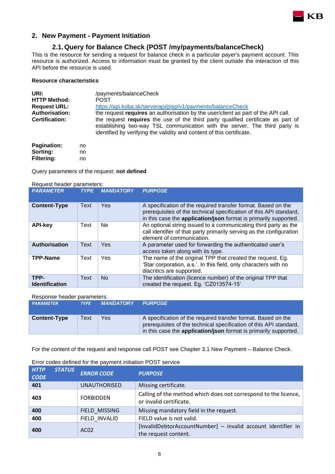

## <span id="page-5-0"></span>**2. New Payment - Payment Initiation**

## <span id="page-5-1"></span>**2.1.Query for Balance Check (POST /my/payments/balanceCheck)**

This is the resource for sending a request for balance check in a particular payer's payment account. This resource is authorized. Access to information must be granted by the client outside the interaction of this API before the resource is used.

#### **Resource characteristics**

| URI:<br><b>HTTP Method:</b> | /payments/balanceCheck<br><b>POST</b>                                                                                                                                                                                                   |
|-----------------------------|-----------------------------------------------------------------------------------------------------------------------------------------------------------------------------------------------------------------------------------------|
| <b>Request URL:</b>         | https://api.koba.sk/serverapi/pisp/v1/payments/balanceCheck                                                                                                                                                                             |
| <b>Authorisation:</b>       | the request requires an authorisation by the user/client as part of the API call.                                                                                                                                                       |
| <b>Certification:</b>       | the request requires the use of the third party qualified certificate as part of<br>establishing two-way TSL communication with the server. The third party is<br>identified by verifying the validity and content of this certificate. |

| Pagination:       | no |  |
|-------------------|----|--|
| Sorting:          | no |  |
| <b>Filtering:</b> | no |  |

Query parameters of the request: **not defined**

#### Request header parameters:

| <b>PARAMETER</b>              | <b>TYPE</b> | <b>MANDATORY</b> | <b>PURPOSE</b>                                                                                                                                                                                          |
|-------------------------------|-------------|------------------|---------------------------------------------------------------------------------------------------------------------------------------------------------------------------------------------------------|
| <b>Content-Type</b>           | <b>Text</b> | Yes              | A specification of the required transfer format. Based on the<br>prerequisites of the technical specification of this API standard,<br>in this case the application/json format is primarily supported. |
| <b>API-key</b>                | Text        | Ne.              | An optional string issued to a communicating third party as the<br>call identifier of that party primarily serving as the configuration<br>element of communication.                                    |
| <b>Authorisation</b>          | Text        | Yes              | A parameter used for forwarding the authenticated user's<br>access token along with its type.                                                                                                           |
| <b>TPP-Name</b>               | Text        | Yes              | The name of the original TPP that created the request. Eg.<br>'Star corporation, a.s.'. In this field, only characters with no<br>diacritics are supported.                                             |
| TPP-<br><b>Identification</b> | Text        | No.              | The identification (licence number) of the original TPP that<br>created the request. Eg. 'CZ013574-15'                                                                                                  |

#### Response header parameters:

| <b>PARAMETER</b>    | <b>TYPE</b> | <b>MANDATORY</b> | <b>PURPOSE</b>                                                                                                                                                                                                 |
|---------------------|-------------|------------------|----------------------------------------------------------------------------------------------------------------------------------------------------------------------------------------------------------------|
| <b>Content-Type</b> | Text        | Yes              | A specification of the required transfer format. Based on the<br>prerequisites of the technical specification of this API standard,<br>in this case the <b>application/json</b> format is primarily supported. |

For the content of the request and response call POST see Chapter [3.1](#page-9-1) New Payment – Balance Check.

| <b>HTTP</b><br><b>CODE</b> | <b>STATUS</b> | <b>ERROR CODE</b>   | <b>PURPOSE</b>                                                                             |
|----------------------------|---------------|---------------------|--------------------------------------------------------------------------------------------|
| 401                        |               | <b>UNAUTHORISED</b> | Missing certificate.                                                                       |
| 403                        |               | <b>FORBIDDEN</b>    | Calling of the method which does not correspond to the licence,<br>or invalid certificate. |
| 400                        |               | FIELD MISSING       | Missing mandatory field in the request.                                                    |
| 400                        |               | FIELD INVALID       | FIELD value is not valid.                                                                  |
| 400                        |               | AC <sub>02</sub>    | [InvalidDebtorAccountNumber] - invalid account identifier in<br>the request content.       |

#### Error codes defined for the payment initiation POST service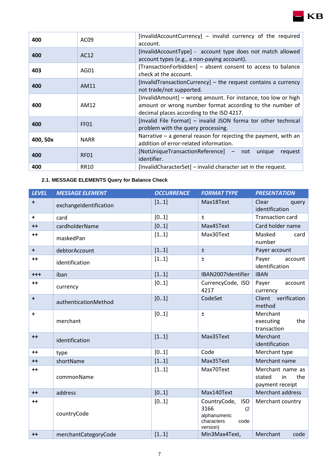| 400      | AC <sub>09</sub> | [InvalidAccountCurrency] – invalid currency of the required<br>account.                                                                                                |  |  |
|----------|------------------|------------------------------------------------------------------------------------------------------------------------------------------------------------------------|--|--|
| 400      | AC12             | [InvalidAccountType] - account type does not match allowed<br>account types (e.g., a non-paying account).                                                              |  |  |
| 403      | AG01             | [TransactionForbidden] - absent consent to access to balance<br>check at the account.                                                                                  |  |  |
| 400      | AM11             | [InvalidTransactionCurrency] $-$ the request contains a currency<br>not trade/not supported.                                                                           |  |  |
| 400      | AM12             | [InvalidAmount] – wrong amount. For instance, too low or high<br>amount or wrong number format according to the number of<br>decimal places according to the ISO 4217. |  |  |
| 400      | FF01             | [Invalid File Format] - invalid JSON forma tor other technical<br>problem with the query processing.                                                                   |  |  |
| 400, 50x | <b>NARR</b>      | Narrative - a general reason for rejecting the payment, with an<br>addition of error-related information.                                                              |  |  |
| 400      | RF <sub>01</sub> | [NotUniqueTransactionReference] – not unique<br>request<br>identifier.                                                                                                 |  |  |
| 400      | RR10             | [InvalidCharacterSet] - invalid character set in the request.                                                                                                          |  |  |

## <span id="page-6-0"></span>**2.1. MESSAGE ELEMENTS Query for Balance Check**

| <b>LEVEL</b> | <b>MESSAGE ELEMENT</b> | <b>OCCURRENCE</b> | <b>FORMAT TYPE</b>                                                                          | <b>PRESENTATION</b>                                        |
|--------------|------------------------|-------------------|---------------------------------------------------------------------------------------------|------------------------------------------------------------|
| $\ddot{}$    | exchangeIdentification | [11]              | Max18Text                                                                                   | Clear<br>query<br>identification                           |
| +            | card                   | [01]              | $\pm$                                                                                       | <b>Transaction card</b>                                    |
| $++$         | cardholderName         | [01]              | Max45Text                                                                                   | Card holder name                                           |
| $++$         | maskedPan              | [11]              | Max30Text                                                                                   | Masked<br>card<br>number                                   |
| $\ddotmark$  | debtorAccount          | [11]              | $\pm$                                                                                       | Payer account                                              |
| $++$         | identification         | [11]              | $\pm$                                                                                       | Payer<br>account<br>identification                         |
| $+ + +$      | iban                   | [11]              | IBAN2007Identifier                                                                          | <b>IBAN</b>                                                |
| $++$         | currency               | [01]              | CurrencyCode, ISO<br>4217                                                                   | Payer<br>account<br>currency                               |
| $\ddot{}$    | authenticationMethod   | [01]              | CodeSet                                                                                     | Client verification<br>method                              |
| +            | merchant               | [01]              | $\pm$                                                                                       | Merchant<br>the<br>executing<br>transaction                |
| $++$         | identification         | [11]              | Max35Text                                                                                   | Merchant<br>identification                                 |
| $++$         | type                   | [01]              | Code                                                                                        | Merchant type                                              |
| $++$         | shortName              | [11]              | Max35Text                                                                                   | Merchant name                                              |
| $++$         | commonName             | [11]              | Max70Text                                                                                   | Merchant name as<br>stated<br>the<br>in<br>payment receipt |
| $++$         | address                | [01]              | Max140Text                                                                                  | Merchant address                                           |
| $++$         | countryCode            | [01]              | CountryCode,<br><b>ISO</b><br>3166<br>(2)<br>alphanumeric<br>characters<br>code<br>version) | Merchant country                                           |
| $++$         | merchantCategoryCode   | [11]              | Min3Max4Text,                                                                               | Merchant<br>code                                           |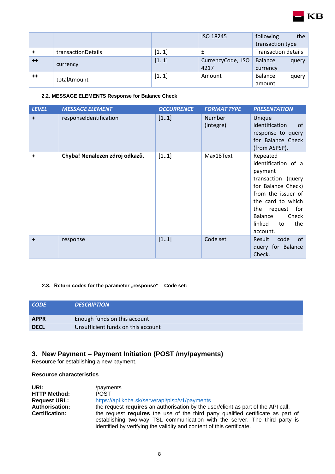|      |                    |      | ISO 18245                 | following<br>the<br>transaction type |
|------|--------------------|------|---------------------------|--------------------------------------|
|      | transactionDetails | [11] | 土                         | <b>Transaction details</b>           |
| $++$ | currency           | [11] | CurrencyCode, ISO<br>4217 | <b>Balance</b><br>query<br>currency  |
| $++$ | totalAmount        | [11] | Amount                    | <b>Balance</b><br>query  <br>amount  |

**KB** 

#### <span id="page-7-0"></span>**2.2. MESSAGE ELEMENTS Response for Balance Check**

| <b>LEVEL</b> | <b>MESSAGE ELEMENT</b>         | <b>OCCURRENCE</b> | <b>FORMAT TYPE</b>         | <b>PRESENTATION</b>                                                                                                                                                                                                  |
|--------------|--------------------------------|-------------------|----------------------------|----------------------------------------------------------------------------------------------------------------------------------------------------------------------------------------------------------------------|
| $\ddot{}$    | responseldentification         | [11]              | <b>Number</b><br>(integre) | Unique<br>identification<br>of<br>response to query<br>for Balance Check<br>(from ASPSP).                                                                                                                            |
| +            | Chyba! Nenalezen zdroj odkazů. | [11]              | Max18Text                  | Repeated<br>identification of a<br>payment<br>transaction<br>(query<br>for Balance Check)<br>from the issuer of<br>the card to which<br>the<br>for<br>request<br>Check<br>Balance<br>linked<br>the<br>to<br>account. |
| $\ddot{}$    | response                       | [11]              | Code set                   | of<br>Result<br>code<br>query for Balance<br>Check.                                                                                                                                                                  |

#### <span id="page-7-1"></span>2.3. Return codes for the parameter "response" - Code set:

| <b>CODE</b> | <b>DESCRIPTION</b>                 |
|-------------|------------------------------------|
| <b>APPR</b> | Enough funds on this account       |
| <b>DECL</b> | Unsufficient funds on this account |

## <span id="page-7-2"></span>**3. New Payment – Payment Initiation (POST /my/payments)**

Resource for establishing a new payment.

#### **Resource characteristics**

| URI:                  | /payments                                                                                                                                           |
|-----------------------|-----------------------------------------------------------------------------------------------------------------------------------------------------|
| <b>HTTP Method:</b>   | <b>POST</b>                                                                                                                                         |
| <b>Request URL:</b>   | https://api.koba.sk/serverapi/pisp/v1/payments                                                                                                      |
| <b>Authorisation:</b> | the request requires an authorisation by the user/client as part of the API call.                                                                   |
| <b>Certification:</b> | the request requires the use of the third party qualified certificate as part of                                                                    |
|                       | establishing two-way TSL communication with the server. The third party is<br>identified by verifying the validity and content of this certificate. |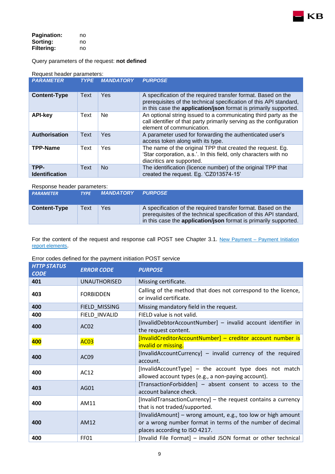

| <b>Pagination:</b> | no |
|--------------------|----|
| Sorting:           | no |
| <b>Filtering:</b>  | no |

Query parameters of the request: **not defined**

#### Request header parameters:

| <b>PARAMETER</b>              | <b>TYPE</b> | <b>MANDATORY</b> | <b>PURPOSE</b>                                                                                                                                                                                          |
|-------------------------------|-------------|------------------|---------------------------------------------------------------------------------------------------------------------------------------------------------------------------------------------------------|
| <b>Content-Type</b>           | Text        | <b>Yes</b>       | A specification of the required transfer format. Based on the<br>prerequisites of the technical specification of this API standard,<br>in this case the application/json format is primarily supported. |
| <b>API-key</b>                | Text        | Ne               | An optional string issued to a communicating third party as the<br>call identifier of that party primarily serving as the configuration<br>element of communication.                                    |
| Authorisation                 | Text        | Yes              | A parameter used for forwarding the authenticated user's<br>access token along with its type.                                                                                                           |
| <b>TPP-Name</b>               | Text        | Yes              | The name of the original TPP that created the request. Eg.<br>'Star corporation, a.s.'. In this field, only characters with no<br>diacritics are supported.                                             |
| TPP-<br><b>Identification</b> | Text        | N <sub>o</sub>   | The identification (licence number) of the original TPP that<br>created the request. Eg. 'CZ013574-15'                                                                                                  |

#### Response header parameters:

| <b>PARAMETER</b>    | <b>TYPE</b> | <b>MANDATORY</b> | <b>PURPOSE</b>                                                                                                                                                                                                 |
|---------------------|-------------|------------------|----------------------------------------------------------------------------------------------------------------------------------------------------------------------------------------------------------------|
| <b>Content-Type</b> | Text        | Yes              | A specification of the required transfer format. Based on the<br>prerequisites of the technical specification of this API standard,<br>in this case the <b>application/json</b> format is primarily supported. |

For the content of the request and response call POST see Chapter 3.1. [New Payment](#page-9-0) – Payment Initiation [report elements](#page-9-0).

#### Error codes defined for the payment initiation POST service

| <b>HTTP STATUS</b><br><b>CODE</b> | <b>ERROR CODE</b>   | <b>PURPOSE</b>                                                                                                                                              |  |  |  |  |
|-----------------------------------|---------------------|-------------------------------------------------------------------------------------------------------------------------------------------------------------|--|--|--|--|
| 401                               | <b>UNAUTHORISED</b> | Missing certificate.                                                                                                                                        |  |  |  |  |
| 403                               | <b>FORBIDDEN</b>    | Calling of the method that does not correspond to the licence,<br>or invalid certificate.                                                                   |  |  |  |  |
| 400                               | FIELD_MISSING       | Missing mandatory field in the request.                                                                                                                     |  |  |  |  |
| 400                               | FIELD_INVALID       | FIELD value is not valid.                                                                                                                                   |  |  |  |  |
| 400                               | AC <sub>02</sub>    | [InvalidDebtorAccountNumber] - invalid account identifier in<br>the request content.                                                                        |  |  |  |  |
| 400                               | <b>AC03</b>         | [InvalidCreditorAccountNumber] - creditor account number is<br>invalid or missing.                                                                          |  |  |  |  |
| 400                               | AC <sub>09</sub>    | [InvalidAccountCurrency] - invalid currency of the required<br>account.                                                                                     |  |  |  |  |
| 400                               | AC12                | [InvalidAccountType] - the account type does not match<br>allowed account types (e.g., a non-paying account).                                               |  |  |  |  |
| 403                               | AG01                | [TransactionForbidden] - absent consent to access to the<br>account balance check.                                                                          |  |  |  |  |
| 400                               | AM11                | [InvalidTransactionCurrency] – the request contains a currency<br>that is not traded/supported.                                                             |  |  |  |  |
| 400                               | AM12                | [InvalidAmount] - wrong amount, e.g., too low or high amount<br>or a wrong number format in terms of the number of decimal<br>places according to ISO 4217. |  |  |  |  |
| 400                               | FF01                | [Invalid File Format] – invalid JSON format or other technical                                                                                              |  |  |  |  |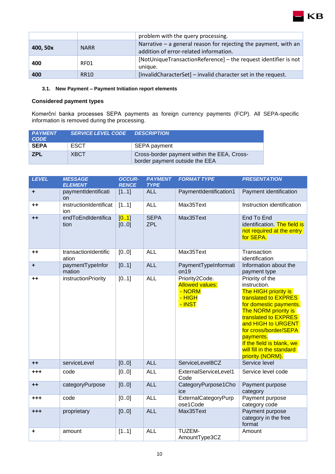|          |             | problem with the query processing.                                                                          |  |  |  |
|----------|-------------|-------------------------------------------------------------------------------------------------------------|--|--|--|
| 400, 50x | <b>NARR</b> | Narrative $-$ a general reason for rejecting the payment, with an<br>addition of error-related information. |  |  |  |
| 400      | RF01        | [NotUniqueTransactionReference] – the request identifier is not<br>unique.                                  |  |  |  |
| 400      | RR10        | [InvalidCharacterSet] – invalid character set in the request.                                               |  |  |  |

KB

#### <span id="page-9-1"></span><span id="page-9-0"></span>**3.1. New Payment – Payment Initiation report elements**

#### **Considered payment types**

Komerční banka processes SEPA payments as foreign currency payments (FCP). All SEPA-specific information is removed during the processing.

| <b>PAYMENT</b><br><b>CODE</b> | <b>SERVICE LEVEL CODE DESCRIPTION</b> |                                                                               |
|-------------------------------|---------------------------------------|-------------------------------------------------------------------------------|
| <b>SEPA</b>                   | ESCT                                  | SEPA payment                                                                  |
| <b>ZPL</b>                    | <b>XBCT</b>                           | Cross-border payment within the EEA, Cross-<br>border payment outside the EEA |

| <b>LEVEL</b> | <b>MESSAGE</b><br><b>ELEMENT</b> | <b>OCCUR-</b><br><b>RENCE</b> | <b>PAYMENT</b><br><b>TYPE</b> | <b>FORMAT TYPE</b>                                                       | <b>PRESENTATION</b>                                                                                                                                                                                                                                                                                 |
|--------------|----------------------------------|-------------------------------|-------------------------------|--------------------------------------------------------------------------|-----------------------------------------------------------------------------------------------------------------------------------------------------------------------------------------------------------------------------------------------------------------------------------------------------|
| ٠            | paymentIdentificati<br>on        | [11]                          | <b>ALL</b>                    | PaymentIdentification1                                                   | Payment identification                                                                                                                                                                                                                                                                              |
| $++$         | instructionIdentificat<br>ion    | [11]                          | <b>ALL</b>                    | Max35Text                                                                | Instruction identification                                                                                                                                                                                                                                                                          |
| $+ +$        | endToEndIdentifica<br>tion       | [0.1]<br>[00]                 | <b>SEPA</b><br><b>ZPL</b>     | Max35Text                                                                | End To End<br>identification. The field is<br>not required at the entry<br>for SEPA.                                                                                                                                                                                                                |
| $++$         | transactionIdentific<br>ation    | [0.0]                         | <b>ALL</b>                    | Max35Text                                                                | Transaction<br>identification                                                                                                                                                                                                                                                                       |
| ÷            | paymentTypeInfor<br>mation       | [01]                          | <b>ALL</b>                    | PaymentTypeInformati<br>on19                                             | Information about the<br>payment type                                                                                                                                                                                                                                                               |
| $++$         | <i>instructionPriority</i>       | [01]                          | <b>ALL</b>                    | Priority2Code.<br><b>Allowed values:</b><br>- NORM<br>$-$ HIGH<br>- INST | Priority of the<br>instruction.<br>The HIGH priority is<br>translated to EXPRES<br>for domestic payments.<br>The NORM priority is<br>translated to EXPRES<br>and HIGH to URGENT<br>for cross/border/SEPA<br>payments.<br>If the field is blank, we<br>will fill in the standard<br>priority (NORM). |
| $++$         | serviceLevel                     | [00]                          | <b>ALL</b>                    | ServiceLevel8CZ                                                          | Service level                                                                                                                                                                                                                                                                                       |
| $+ + +$      | code                             | [00]                          | <b>ALL</b>                    | ExternalServiceLevel1<br>Code                                            | Service level code                                                                                                                                                                                                                                                                                  |
| $+ +$        | categoryPurpose                  | [00]                          | <b>ALL</b>                    | CategoryPurpose1Cho<br>ice                                               | Payment purpose<br>category                                                                                                                                                                                                                                                                         |
| +++          | code                             | [00]                          | <b>ALL</b>                    | ExternalCategoryPurp<br>ose1Code                                         | Payment purpose<br>category code                                                                                                                                                                                                                                                                    |
| $+ + +$      | proprietary                      | [00]                          | <b>ALL</b>                    | Max35Text                                                                | Payment purpose<br>category in the free<br>format                                                                                                                                                                                                                                                   |
| ٠            | amount                           | [11]                          | <b>ALL</b>                    | TUZEM-<br>AmountType3CZ                                                  | Amount                                                                                                                                                                                                                                                                                              |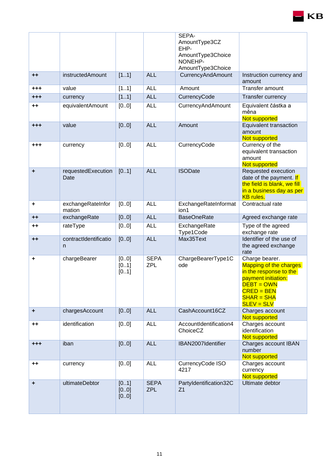|                 |                             |                      |                           | SEPA-<br>AmountType3CZ<br>EHP-<br>AmountType3Choice<br>NONEHP-<br>AmountType3Choice |                                                                                                                                                                |
|-----------------|-----------------------------|----------------------|---------------------------|-------------------------------------------------------------------------------------|----------------------------------------------------------------------------------------------------------------------------------------------------------------|
| $++$            | instructedAmount            | [11]                 | <b>ALL</b>                | <b>CurrencyAndAmount</b>                                                            | Instruction currency and<br>amount                                                                                                                             |
| +++             | value                       | [11]                 | <b>ALL</b>                | Amount                                                                              | Transfer amount                                                                                                                                                |
| +++             | currency                    | [11]                 | <b>ALL</b>                | CurrencyCode                                                                        | Transfer currency                                                                                                                                              |
| $^{\mathrm{+}}$ | equivalentAmount            | [00]                 | <b>ALL</b>                | CurrencyAndAmount                                                                   | Equivalent částka a<br>měna<br>Not supported                                                                                                                   |
| $+ + +$         | value                       | [00]                 | <b>ALL</b>                | Amount                                                                              | Equivalent transaction<br>amount<br>Not supported                                                                                                              |
| +++             | currency                    | [00]                 | <b>ALL</b>                | CurrencyCode                                                                        | Currency of the<br>equivalent transaction<br>amount<br>Not supported                                                                                           |
| ٠               | requestedExecution<br>Date  | [01]                 | <b>ALL</b>                | <b>ISODate</b>                                                                      | Requested execution<br>date of the payment. If<br>the field is blank, we fill<br>in a business day as per<br><b>KB</b> rules.                                  |
| ٠               | exchangeRateInfor<br>mation | [00]                 | <b>ALL</b>                | ExchangeRateInformat<br>ion1                                                        | Contractual rate                                                                                                                                               |
| $++$            | exchangeRate                | [00]                 | <b>ALL</b>                | <b>BaseOneRate</b>                                                                  | Agreed exchange rate                                                                                                                                           |
| ++              | rateType                    | [00]                 | <b>ALL</b>                | ExchangeRate<br>Type1Code                                                           | Type of the agreed<br>exchange rate                                                                                                                            |
| $++$            | contractIdentificatio<br>n  | [00]                 | <b>ALL</b>                | Max35Text                                                                           | Identifier of the use of<br>the agreed exchange<br>rate                                                                                                        |
| ٠               | chargeBearer                | [00]<br>[01]<br>[01] | <b>SEPA</b><br>ZPL        | ChargeBearerType1C<br>ode                                                           | Charge bearer.<br>Mapping of the charges<br>in the response to the<br>payment initiation:<br><b>DEBT = OWN</b><br>$CRED = BEN$<br>$SHAR = SHA$<br>$SLEV = SLV$ |
| ٠               | chargesAccount              | [00]                 | <b>ALL</b>                | CashAccount16CZ                                                                     | Charges account<br>Not supported                                                                                                                               |
| ++              | identification              | [00]                 | <b>ALL</b>                | AccountIdentification4<br>ChoiceCZ                                                  | Charges account<br>identification<br>Not supported                                                                                                             |
| $^{+++}$        | iban                        | [00]                 | <b>ALL</b>                | IBAN2007Identifier                                                                  | Charges account IBAN<br>number<br>Not supported                                                                                                                |
| ++              | currency                    | [00]                 | <b>ALL</b>                | CurrencyCode ISO<br>4217                                                            | Charges account<br>currency<br>Not supported                                                                                                                   |
| ٠               | ultimateDebtor              | [01]<br>[00]<br>[00] | <b>SEPA</b><br><b>ZPL</b> | PartyIdentification32C<br>Z <sub>1</sub>                                            | Ultimate debtor                                                                                                                                                |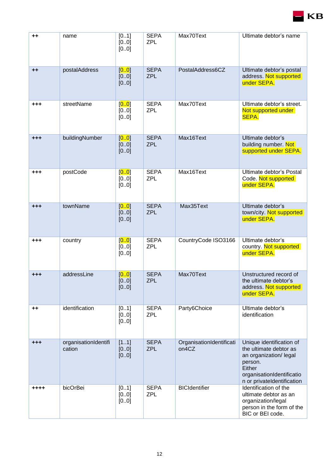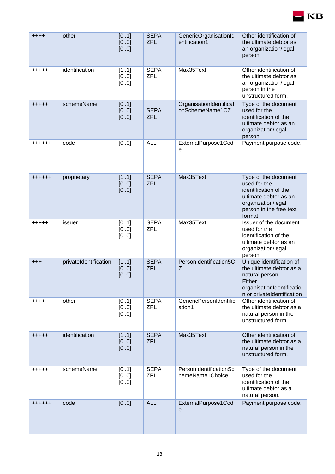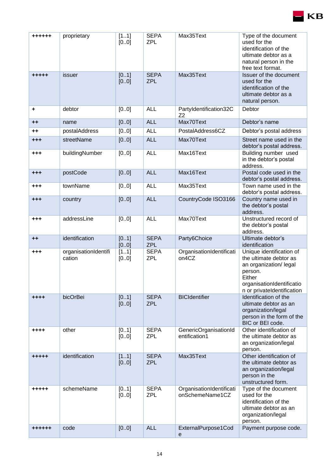| ++++++          | proprietary                    | [11]<br>[00]  | <b>SEPA</b><br><b>ZPL</b> | Max35Text                                   | Type of the document<br>used for the<br>identification of the<br>ultimate debtor as a<br>natural person in the<br>free text format.                          |
|-----------------|--------------------------------|---------------|---------------------------|---------------------------------------------|--------------------------------------------------------------------------------------------------------------------------------------------------------------|
| +++++           | issuer                         | [01]<br>[00]  | <b>SEPA</b><br><b>ZPL</b> | Max35Text                                   | Issuer of the document<br>used for the<br>identification of the<br>ultimate debtor as a<br>natural person.                                                   |
| ٠               | debtor                         | [0.0]         | <b>ALL</b>                | Partyldentification32C<br>72                | Debtor                                                                                                                                                       |
| $++$            | name                           | [00]          | <b>ALL</b>                | Max70Text                                   | Debtor's name                                                                                                                                                |
| $^{\mathrm{+}}$ | postalAddress                  | [00]          | <b>ALL</b>                | PostalAddress6CZ                            | Debtor's postal address                                                                                                                                      |
| $+ + +$         | streetName                     | [00]          | <b>ALL</b>                | Max70Text                                   | Street name used in the<br>debtor's postal address.                                                                                                          |
| $+ + +$         | buildingNumber                 | [00]          | <b>ALL</b>                | Max16Text                                   | Building number used<br>in the debtor's postal<br>address.                                                                                                   |
| $+ + +$         | postCode                       | [00]          | <b>ALL</b>                | Max16Text                                   | Postal code used in the<br>debtor's postal address.                                                                                                          |
| +++             | townName                       | [00]          | <b>ALL</b>                | Max35Text                                   | Town name used in the<br>debtor's postal address.                                                                                                            |
| $^{+++}$        | country                        | [00]          | <b>ALL</b>                | CountryCode ISO3166                         | Country name used in<br>the debtor's postal<br>address.                                                                                                      |
| $+ + +$         | addressLine                    | [00]          | <b>ALL</b>                | Max70Text                                   | Unstructured record of<br>the debtor's postal<br>address.                                                                                                    |
| $++$            | identification                 | [01]<br>[00]  | <b>SEPA</b><br><b>ZPL</b> | Party6Choice                                | Ultimate debtor's<br>identification                                                                                                                          |
| +++             | organisationIdentifi<br>cation | [11]<br>[00]  | <b>SEPA</b><br><b>ZPL</b> | OrganisationIdentificati<br>on4CZ           | Unique identification of<br>the ultimate debtor as<br>an organization/ legal<br>person.<br>Either<br>organisationIdentificatio<br>n or privateIdentification |
| $+ + + +$       | bicOrBei                       | [01]<br>[00]  | <b>SEPA</b><br><b>ZPL</b> | <b>BICIdentifier</b>                        | Identification of the<br>ultimate debtor as an<br>organization/legal<br>person in the form of the<br>BIC or BEI code.                                        |
| ++++            | other                          | [01]<br>[00]  | <b>SEPA</b><br><b>ZPL</b> | GenericOrganisationId<br>entification1      | Other identification of<br>the ultimate debtor as<br>an organization/legal<br>person.                                                                        |
| +++++           | identification                 | [11]<br>[00]  | <b>SEPA</b><br><b>ZPL</b> | Max35Text                                   | Other identification of<br>the ultimate debtor as<br>an organization/legal<br>person in the<br>unstructured form.                                            |
| +++++           | schemeName                     | [01]<br>[0.0] | <b>SEPA</b><br><b>ZPL</b> | OrganisationIdentificati<br>onSchemeName1CZ | Type of the document<br>used for the<br>identification of the<br>ultimate debtor as an<br>organization/legal<br>person.                                      |
| ++++++          | code                           | [00]          | <b>ALL</b>                | ExternalPurpose1Cod<br>е                    | Payment purpose code.                                                                                                                                        |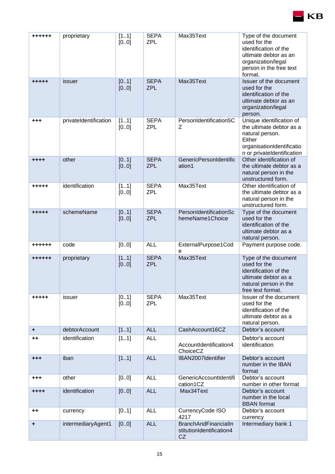

KВ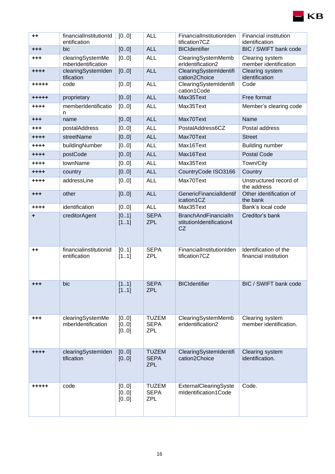| $++$            | financialInstitutionId<br>entification | [00]                  | <b>ALL</b>                                | FinancialInstitutionIden<br>tification7CZ                            | Financial institution<br>identification        |
|-----------------|----------------------------------------|-----------------------|-------------------------------------------|----------------------------------------------------------------------|------------------------------------------------|
| $+ + +$         | bic                                    | [00]                  | <b>ALL</b>                                | <b>BICIdentifier</b>                                                 | BIC / SWIFT bank code                          |
| +++             | clearingSystemMe<br>mberIdentification | [00]                  | <b>ALL</b>                                | ClearingSystemMemb<br>erIdentification2                              | Clearing system<br>member identification       |
| $+ + + +$       | clearingSystemIden<br>tification       | [00]                  | <b>ALL</b>                                | ClearingSystemIdentifi<br>cation2Choice                              | Clearing system<br>identification              |
| +++++           | code                                   | [0.0]                 | <b>ALL</b>                                | ClearingSystemIdentifi<br>cation1Code                                | Code                                           |
| +++++           | proprietary                            | [00]                  | <b>ALL</b>                                | Max35Text                                                            | Free format                                    |
| ++++            | memberIdentificatio<br>n               | [00]                  | <b>ALL</b>                                | Max35Text                                                            | Member's clearing code                         |
| $^{+++}$        | name                                   | [00]                  | <b>ALL</b>                                | Max70Text                                                            | Name                                           |
| +++             | postalAddress                          | [00]                  | <b>ALL</b>                                | PostalAddress6CZ                                                     | Postal address                                 |
| $+ + + +$       | streetName                             | [00]                  | <b>ALL</b>                                | Max70Text                                                            | <b>Street</b>                                  |
| $***$           | buildingNumber                         | [00]                  | <b>ALL</b>                                | Max16Text                                                            | <b>Building number</b>                         |
| $***$           | postCode                               | [00]                  | <b>ALL</b>                                | Max16Text                                                            | <b>Postal Code</b>                             |
| $+ + + +$       | townName                               | [00]                  | <b>ALL</b>                                | Max35Text                                                            | Town/City                                      |
| $+ + + +$       | country                                | [00]                  | <b>ALL</b>                                | CountryCode ISO3166                                                  | Country                                        |
| $+ + + +$       | addressLine                            | [0.0]                 | <b>ALL</b>                                | Max70Text                                                            | Unstructured record of<br>the address          |
| $+ + +$         | other                                  | [00]                  | <b>ALL</b>                                | GenericFinancialIdentif<br>ication1CZ                                | Other identification of<br>the bank            |
| $+ + + +$       | identification                         | [00]                  | <b>ALL</b>                                | Max35Text                                                            | Bank's local code                              |
| ٠               | creditorAgent                          | [01]<br>[11]          | <b>SEPA</b><br><b>ZPL</b>                 | <b>BranchAndFinancialIn</b><br>stitutionIdentification4<br><b>CZ</b> | Creditor's bank                                |
| $^{\mathrm{+}}$ | financialinstitutionid<br>entification | [01]<br>[11]          | <b>SEPA</b><br><b>ZPL</b>                 | FinancialInstitutionIden<br>tification7CZ                            | Identification of the<br>financial institution |
| +++             | bic                                    | [11]<br>[11]          | <b>SEPA</b><br><b>ZPL</b>                 | <b>BICIdentifier</b>                                                 | BIC / SWIFT bank code                          |
| +++             | clearingSystemMe<br>mberIdentification | [0.0]<br>[00]<br>[00] | <b>TUZEM</b><br><b>SEPA</b><br><b>ZPL</b> | ClearingSystemMemb<br>erIdentification2                              | Clearing system<br>member identification.      |
| ++++            | clearingSystemIden<br>tification       | [00]<br>[00]          | <b>TUZEM</b><br><b>SEPA</b><br><b>ZPL</b> | ClearingSystemIdentifi<br>cation2Choice                              | Clearing system<br>identification.             |
| +++++           | code                                   | [00]<br>[00]<br>[00]  | <b>TUZEM</b><br><b>SEPA</b><br><b>ZPL</b> | ExternalClearingSyste<br>mIdentification1Code                        | Code.                                          |

 $\blacksquare$ KB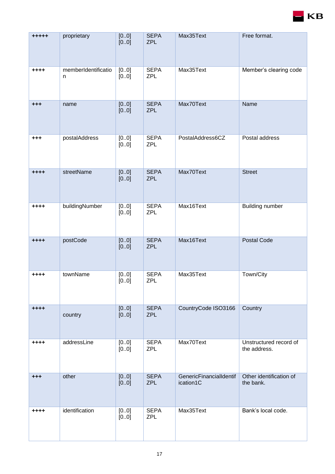

| $***+$    | proprietary              | [00]<br>[00]  | <b>SEPA</b><br><b>ZPL</b> | Max35Text                            | Free format.                           |
|-----------|--------------------------|---------------|---------------------------|--------------------------------------|----------------------------------------|
| ++++      | memberIdentificatio<br>n | [0.0]<br>[00] | <b>SEPA</b><br><b>ZPL</b> | Max35Text                            | Member's clearing code                 |
| $^{+++}$  | name                     | [00]<br>[00]  | <b>SEPA</b><br><b>ZPL</b> | Max70Text                            | Name                                   |
| $+ + +$   | postalAddress            | [00]<br>[00]  | <b>SEPA</b><br><b>ZPL</b> | PostalAddress6CZ                     | Postal address                         |
| $+ + + +$ | streetName               | [00]<br>[00]  | <b>SEPA</b><br><b>ZPL</b> | Max70Text                            | <b>Street</b>                          |
| $+ + + +$ | buildingNumber           | [00]<br>[00]  | <b>SEPA</b><br><b>ZPL</b> | Max16Text                            | <b>Building number</b>                 |
| $***$     | postCode                 | [00]<br>[00]  | <b>SEPA</b><br><b>ZPL</b> | Max16Text                            | <b>Postal Code</b>                     |
| ++++      | townName                 | [0.0]<br>[00] | <b>SEPA</b><br><b>ZPL</b> | Max35Text                            | Town/City                              |
| $+ + + +$ | country                  | [00]<br>[00]  | <b>SEPA</b><br><b>ZPL</b> | CountryCode ISO3166                  | Country                                |
| ++++      | addressLine              | [00]<br>[00]  | <b>SEPA</b><br><b>ZPL</b> | Max70Text                            | Unstructured record of<br>the address. |
| $+ + +$   | other                    | [00]<br>[00]  | <b>SEPA</b><br><b>ZPL</b> | GenericFinancialIdentif<br>ication1C | Other identification of<br>the bank.   |
| ++++      | identification           | [00]<br>[00]  | <b>SEPA</b><br><b>ZPL</b> | Max35Text                            | Bank's local code.                     |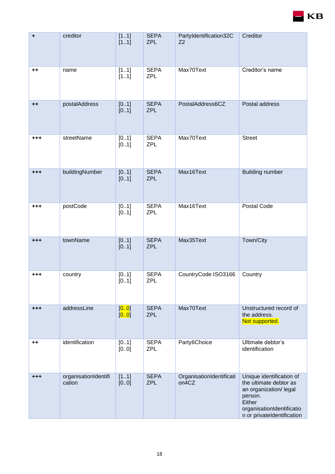

| ٠              | creditor                       | [11]<br>[11]   | <b>SEPA</b><br><b>ZPL</b> | Partyldentification32C<br>Z <sub>2</sub> | Creditor                                                                                                                                                     |
|----------------|--------------------------------|----------------|---------------------------|------------------------------------------|--------------------------------------------------------------------------------------------------------------------------------------------------------------|
| $^{\tiny{++}}$ | name                           | [11]<br>[11]   | <b>SEPA</b><br><b>ZPL</b> | Max70Text                                | Creditor's name                                                                                                                                              |
| $++$           | postalAddress                  | [01]<br>[01]   | <b>SEPA</b><br><b>ZPL</b> | PostalAddress6CZ                         | Postal address                                                                                                                                               |
| $+ + +$        | streetName                     | [01]<br>[01]   | <b>SEPA</b><br><b>ZPL</b> | Max70Text                                | <b>Street</b>                                                                                                                                                |
| $^{+++}$       | buildingNumber                 | [01]<br>[01]   | <b>SEPA</b><br><b>ZPL</b> | Max16Text                                | <b>Building number</b>                                                                                                                                       |
| $+ + +$        | postCode                       | [01]<br>[01]   | <b>SEPA</b><br><b>ZPL</b> | Max16Text                                | Postal Code                                                                                                                                                  |
| $+ + +$        | townName                       | [01]<br>[01]   | <b>SEPA</b><br><b>ZPL</b> | Max35Text                                | Town/City                                                                                                                                                    |
| $+ + +$        | country                        | [01]<br>[01]   | <b>SEPA</b><br><b>ZPL</b> | CountryCode ISO3166                      | Country                                                                                                                                                      |
| $^{+ + +}$     | addressLine                    | [0.0]<br>[0.0] | <b>SEPA</b><br><b>ZPL</b> | Max70Text                                | Unstructured record of<br>the address.<br>Not supported.                                                                                                     |
| $^{\tiny{++}}$ | identification                 | [01]<br>[00]   | <b>SEPA</b><br><b>ZPL</b> | Party6Choice                             | Ultimate debtor's<br>identification                                                                                                                          |
| $^{+++}$       | organisationIdentifi<br>cation | [11]<br>[00]   | <b>SEPA</b><br><b>ZPL</b> | OrganisationIdentificati<br>on4CZ        | Unique identification of<br>the ultimate debtor as<br>an organization/ legal<br>person.<br>Either<br>organisationIdentificatio<br>n or privateIdentification |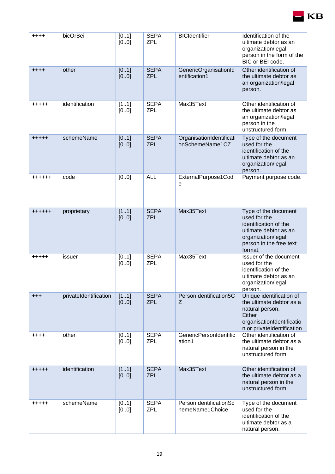| ++++          | bicOrBei              | [01]<br>[00]  | <b>SEPA</b><br><b>ZPL</b> | <b>BICIdentifier</b>                                                                                                                                                   | Identification of the<br>ultimate debtor as an<br>organization/legal<br>person in the form of the<br>BIC or BEI code.                              |
|---------------|-----------------------|---------------|---------------------------|------------------------------------------------------------------------------------------------------------------------------------------------------------------------|----------------------------------------------------------------------------------------------------------------------------------------------------|
| $+ + + +$     | other                 | [01]<br>[0.0] | <b>SEPA</b><br><b>ZPL</b> | GenericOrganisationId<br>entification1                                                                                                                                 | Other identification of<br>the ultimate debtor as<br>an organization/legal<br>person.                                                              |
| +++++         | identification        | [11]<br>[00]  | <b>SEPA</b><br><b>ZPL</b> | Max35Text                                                                                                                                                              | Other identification of<br>the ultimate debtor as<br>an organization/legal<br>person in the<br>unstructured form.                                  |
| +++++         | schemeName            | [01]<br>[00]  | <b>SEPA</b><br><b>ZPL</b> | OrganisationIdentificati<br>Type of the document<br>onSchemeName1CZ<br>used for the<br>identification of the<br>ultimate debtor as an<br>organization/legal<br>person. |                                                                                                                                                    |
| ++++++        | code                  | [00]          | <b>ALL</b>                | ExternalPurpose1Cod<br>e                                                                                                                                               | Payment purpose code.                                                                                                                              |
| $+ + + + + +$ | proprietary           | [11]<br>[00]  | <b>SEPA</b><br><b>ZPL</b> | Max35Text                                                                                                                                                              | Type of the document<br>used for the<br>identification of the<br>ultimate debtor as an<br>organization/legal<br>person in the free text<br>format. |
| +++++         | issuer                | [01]<br>[00]  | <b>SEPA</b><br><b>ZPL</b> | Max35Text<br>Issuer of the document<br>used for the<br>identification of the<br>ultimate debtor as an<br>organization/legal<br>person.                                 |                                                                                                                                                    |
| $+ + +$       | privateIdentification | [11]<br>[00]  | <b>SEPA</b><br><b>ZPL</b> | PersonIdentification5C<br>Z                                                                                                                                            | Unique identification of<br>the ultimate debtor as a<br>natural person.<br>Either<br>organisationIdentificatio<br>n or privateIdentification       |
| ++++          | other                 | [0.1]<br>[00] | <b>SEPA</b><br><b>ZPL</b> | GenericPersonIdentific<br>ation1                                                                                                                                       | Other identification of<br>the ultimate debtor as a<br>natural person in the<br>unstructured form.                                                 |
| +++++         | identification        | [11]<br>[00]  | <b>SEPA</b><br><b>ZPL</b> | Max35Text                                                                                                                                                              | Other identification of<br>the ultimate debtor as a<br>natural person in the<br>unstructured form.                                                 |
| +++++         | schemeName            | [01]<br>[00]  | <b>SEPA</b><br><b>ZPL</b> | PersonIdentificationSc<br>hemeName1Choice                                                                                                                              | Type of the document<br>used for the<br>identification of the<br>ultimate debtor as a<br>natural person.                                           |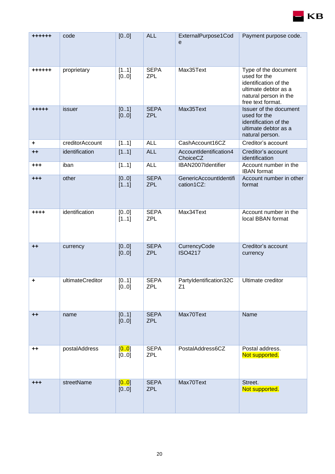

| ++++++          | code             | [00]          | <b>ALL</b>                | ExternalPurpose1Cod<br>e             | Payment purpose code.                                                                                                               |
|-----------------|------------------|---------------|---------------------------|--------------------------------------|-------------------------------------------------------------------------------------------------------------------------------------|
| ++++++          | proprietary      | [11]<br>[0.0] | <b>SEPA</b><br><b>ZPL</b> | Max35Text                            | Type of the document<br>used for the<br>identification of the<br>ultimate debtor as a<br>natural person in the<br>free text format. |
| $+ + + + +$     | issuer           | [01]<br>[00]  | <b>SEPA</b><br><b>ZPL</b> | Max35Text                            | Issuer of the document<br>used for the<br>identification of the<br>ultimate debtor as a<br>natural person.                          |
| ٠               | creditorAccount  | [11]          | <b>ALL</b>                | CashAccount16CZ                      | Creditor's account                                                                                                                  |
| $++$            | identification   | [11]          | <b>ALL</b>                | AccountIdentification4<br>ChoiceCZ   | Creditor's account<br>identification                                                                                                |
| $+ + +$         | iban             | [11]          | <b>ALL</b>                | IBAN2007Identifier                   | Account number in the<br><b>IBAN</b> format                                                                                         |
| $+ + +$         | other            | [00]<br>[11]  | <b>SEPA</b><br><b>ZPL</b> | GenericAccountIdentifi<br>cation1CZ: | Account number in other<br>format                                                                                                   |
| ++++            | identification   | [00]<br>[11]  | <b>SEPA</b><br><b>ZPL</b> | Max34Text                            | Account number in the<br>local BBAN format                                                                                          |
| $++$            | currency         | [0.0]<br>[00] | <b>SEPA</b><br><b>ZPL</b> | CurrencyCode<br><b>ISO4217</b>       | Creditor's account<br>currency                                                                                                      |
| ٠               | ultimateCreditor | [01]<br>[00]  | <b>SEPA</b><br><b>ZPL</b> | PartyIdentification32C<br>Z1         | Ultimate creditor                                                                                                                   |
| $^{\mathrm{+}}$ | name             | [01]<br>[00]  | <b>SEPA</b><br><b>ZPL</b> | Max70Text                            | Name                                                                                                                                |
| $^{\mathrm{+}}$ | postalAddress    | [00]<br>[00]  | <b>SEPA</b><br><b>ZPL</b> | PostalAddress6CZ                     | Postal address.<br>Not supported.                                                                                                   |
| $^{+++}$        | streetName       | [0.0]<br>[00] | <b>SEPA</b><br><b>ZPL</b> | Max70Text                            | Street.<br>Not supported.                                                                                                           |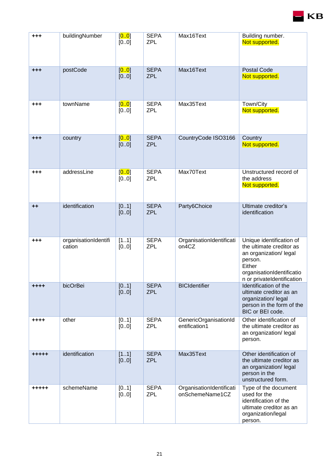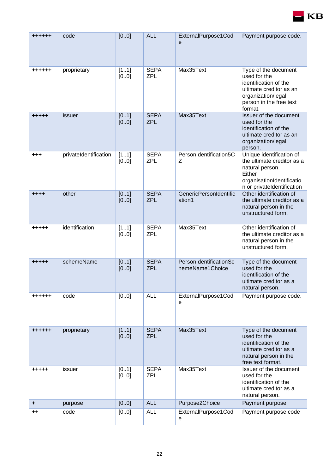

| ******          | code                  | [00]         | <b>ALL</b>                | ExternalPurpose1Cod<br>$\mathbf e$        | Payment purpose code.                                                                                                                                |
|-----------------|-----------------------|--------------|---------------------------|-------------------------------------------|------------------------------------------------------------------------------------------------------------------------------------------------------|
| ++++++          | proprietary           | [11]<br>[00] | <b>SEPA</b><br><b>ZPL</b> | Max35Text                                 | Type of the document<br>used for the<br>identification of the<br>ultimate creditor as an<br>organization/legal<br>person in the free text<br>format. |
| +++++           | issuer                | [01]<br>[00] | <b>SEPA</b><br><b>ZPL</b> | Max35Text                                 | Issuer of the document<br>used for the<br>identification of the<br>ultimate creditor as an<br>organization/legal<br>person.                          |
| $+ + +$         | privateIdentification | [11]<br>[00] | <b>SEPA</b><br><b>ZPL</b> | PersonIdentification5C<br>Z               | Unique identification of<br>the ultimate creditor as a<br>natural person.<br>Either<br>organisationIdentificatio<br>n or privateIdentification       |
| $+ + + +$       | other                 | [01]<br>[00] | <b>SEPA</b><br><b>ZPL</b> | <b>GenericPersonIdentific</b><br>ation1   | Other identification of<br>the ultimate creditor as a<br>natural person in the<br>unstructured form.                                                 |
| +++++           | identification        | [11]<br>[00] | <b>SEPA</b><br><b>ZPL</b> | Max35Text                                 | Other identification of<br>the ultimate creditor as a<br>natural person in the<br>unstructured form.                                                 |
| +++++           | schemeName            | [01]<br>[00] | <b>SEPA</b><br><b>ZPL</b> | PersonIdentificationSc<br>hemeName1Choice | Type of the document<br>used for the<br>identification of the<br>ultimate creditor as a<br>natural person.                                           |
| ++++++          | code                  | [0.0]        | <b>ALL</b>                | ExternalPurpose1Cod<br>e                  | Payment purpose code.                                                                                                                                |
| ++++++          | proprietary           | [11]<br>[00] | <b>SEPA</b><br><b>ZPL</b> | Max35Text                                 | Type of the document<br>used for the<br>identification of the<br>ultimate creditor as a<br>natural person in the<br>free text format.                |
| +++++           | issuer                | [01]<br>[00] | <b>SEPA</b><br><b>ZPL</b> | Max35Text                                 | Issuer of the document<br>used for the<br>identification of the<br>ultimate creditor as a<br>natural person.                                         |
| ٠               | purpose               | [00]         | <b>ALL</b>                | Purpose2Choice                            | Payment purpose                                                                                                                                      |
| $^{\mathrm{+}}$ | code                  | [00]         | <b>ALL</b>                | ExternalPurpose1Cod<br>е                  | Payment purpose code                                                                                                                                 |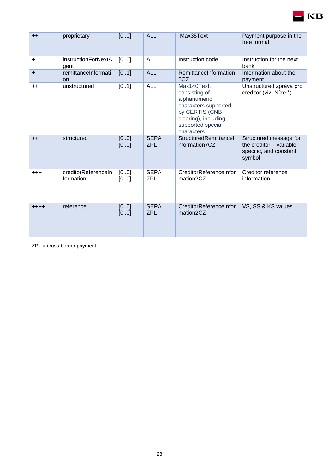| $++$     | proprietary                        | [00]          | <b>ALL</b><br>Max35Text   |                                                                                                                                                   | Payment purpose in the<br>free format                                                  |
|----------|------------------------------------|---------------|---------------------------|---------------------------------------------------------------------------------------------------------------------------------------------------|----------------------------------------------------------------------------------------|
| ÷        | <i>instructionForNextA</i><br>gent | [0.0]         | <b>ALL</b>                | Instruction code                                                                                                                                  | Instruction for the next<br>bank                                                       |
| ÷        | remittanceInformati<br><b>on</b>   | [01]          | <b>ALL</b>                | RemittanceInformation<br>5CZ                                                                                                                      | Information about the<br>payment                                                       |
| $++$     | unstructured                       | [01]          | <b>ALL</b>                | Max140Text,<br>consisting of<br>alphanumeric<br>characters supported<br>by CERTIS (CNB<br>clearing), including<br>supported special<br>characters | Unstructured zpráva pro<br>creditor (viz. Níže *)                                      |
| $++$     | structured                         | [00]<br>[00]  | <b>SEPA</b><br><b>ZPL</b> | StructuredRemittancel<br>nformation7CZ                                                                                                            | Structured message for<br>the creditor - variable,<br>specific, and constant<br>symbol |
| $^{+++}$ | creditorReferenceIn<br>formation   | [0.0]<br>[00] | <b>SEPA</b><br><b>ZPL</b> | CreditorReferenceInfor<br>mation2CZ                                                                                                               | Creditor reference<br>information                                                      |
| $***$    | reference                          | [00]<br>[00]  | <b>SEPA</b><br><b>ZPL</b> | CreditorReferenceInfor<br>mation2CZ                                                                                                               | VS, SS & KS values                                                                     |

ZPL = cross-border payment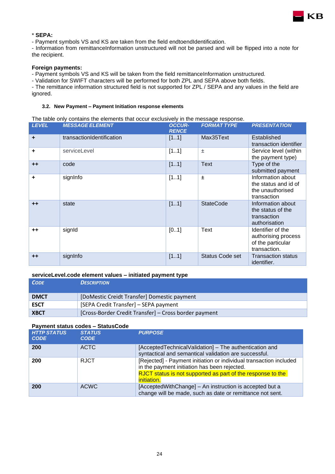

#### \* **SEPA:**

- Payment symbols VS and KS are taken from the field endtoendIdentification.

- Information from remittanceInformation unstructured will not be parsed and will be flipped into a note for the recipient.

#### **Foreign payments:**

- Payment symbols VS and KS will be taken from the field remittanceInformation unstructured.

- Validation for SWIFT characters will be performed for both ZPL and SEPA above both fields.

- The remittance information structured field is not supported for ZPL / SEPA and any values in the field are ignored.

#### <span id="page-23-0"></span>**3.2. New Payment – Payment Initiation response elements**

#### The table only contains the elements that occur exclusively in the message response.

| <b>LEVEL</b> | <b>MESSAGE ELEMENT</b>    | <b>OCCUR-</b><br><b>RENCE</b> | <b>FORMAT TYPE</b>     | <b>PRESENTATION</b>                                                           |
|--------------|---------------------------|-------------------------------|------------------------|-------------------------------------------------------------------------------|
| $\ddot{}$    | transactionIdentification | [11]                          | Max35Text              | Established<br>transaction identifier                                         |
| ٠            | serviceLevel              | [11]                          | 士                      | Service level (within<br>the payment type)                                    |
| $++$         | code                      | [11]                          | <b>Text</b>            | Type of the<br>submitted payment                                              |
| ÷            | signInfo                  | [11]                          | $\pm$                  | Information about<br>the status and id of<br>the unauthorised<br>transaction  |
| $++$         | state                     | [11]                          | <b>StateCode</b>       | Information about<br>the status of the<br>transaction<br>authorisation        |
| $++$         | signId                    | [01]                          | Text                   | Identifier of the<br>authorising process<br>of the particular<br>transaction. |
| $++$         | signInfo                  | [11]                          | <b>Status Code set</b> | <b>Transaction status</b><br>identifier.                                      |

#### **serviceLevel.code element values – initiated payment type**

| <b>CODE</b> | <b>DESCRIPTION</b>                                    |
|-------------|-------------------------------------------------------|
| <b>DMCT</b> | [DoMestic Creidt Transfer] Domestic payment           |
| <b>ESCT</b> | [SEPA Credit Transfer] - SEPA payment                 |
| <b>XBCT</b> | [Cross-Border Credit Transfer] – Cross border payment |

#### **Payment status codes – StatusCode**

| <b>HTTP STATUS</b><br><b>CODE</b> | <b>STATUS</b><br><b>CODE</b> | <b>PURPOSE</b>                                                                                                                                                                                          |
|-----------------------------------|------------------------------|---------------------------------------------------------------------------------------------------------------------------------------------------------------------------------------------------------|
| 200                               | <b>ACTC</b>                  | [AcceptedTechnicalValidation] - The authentication and<br>syntactical and semantical validation are successful.                                                                                         |
| 200                               | <b>RJCT</b>                  | [Rejected] - Payment initiation or individual transaction included<br>in the payment initiation has been rejected.<br>RJCT status is not supported as part of the response to the<br><i>initiation.</i> |
| 200                               | ACWC                         | [AcceptedWithChange] – An instruction is accepted but a<br>change will be made, such as date or remittance not sent.                                                                                    |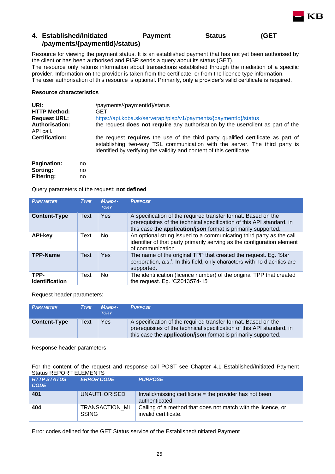## <span id="page-24-0"></span>**4. Established/Initiated Payment Status (GET /payments/{paymentId}/status)**

Resource for viewing the payment status. It is an established payment that has not yet been authorised by the client or has been authorised and PISP sends a query about its status (GET).

KB

The resource only returns information about transactions established through the mediation of a specific provider. Information on the provider is taken from the certificate, or from the licence type information. The user authorisation of this resource is optional. Primarily, only a provider's valid certificate is required.

#### **Resource characteristics**

| URI:                               | /payments/{paymentId}/status                                                                                                                                                                                                            |
|------------------------------------|-----------------------------------------------------------------------------------------------------------------------------------------------------------------------------------------------------------------------------------------|
| <b>HTTP Method:</b>                | GET                                                                                                                                                                                                                                     |
| <b>Request URL:</b>                | https://api.koba.sk/serverapi/pisp/v1/payments/{paymentId}/status                                                                                                                                                                       |
| <b>Authorisation:</b><br>API call. | the request <b>does not require</b> any authorisation by the user/client as part of the                                                                                                                                                 |
| <b>Certification:</b>              | the request requires the use of the third party qualified certificate as part of<br>establishing two-way TSL communication with the server. The third party is<br>identified by verifying the validity and content of this certificate. |
|                                    |                                                                                                                                                                                                                                         |

| <b>Pagination:</b> | no |
|--------------------|----|
| Sorting:           | no |
| <b>Filtering:</b>  | no |

Query parameters of the request: **not defined**

| <b>PARAMETER</b>              | <b>TYPE</b> | <b>MANDA-</b><br><b>TORY</b> | <b>PURPOSE</b>                                                                                                                                                                                          |
|-------------------------------|-------------|------------------------------|---------------------------------------------------------------------------------------------------------------------------------------------------------------------------------------------------------|
| <b>Content-Type</b>           | Text        | <b>Yes</b>                   | A specification of the required transfer format. Based on the<br>prerequisites of the technical specification of this API standard, in<br>this case the application/json format is primarily supported. |
| <b>API-key</b>                | Text        | No                           | An optional string issued to a communicating third party as the call<br>identifier of that party primarily serving as the configuration element<br>of communication.                                    |
| <b>TPP-Name</b>               | Text        | <b>Yes</b>                   | The name of the original TPP that created the request. Eq. 'Star<br>corporation, a.s.'. In this field, only characters with no diacritics are<br>supported.                                             |
| TPP-<br><b>Identification</b> | Text        | No                           | The identification (licence number) of the original TPP that created<br>the request. Eg. 'CZ013574-15'                                                                                                  |

Request header parameters:

| <b>PARAMETER</b>    | <b>TYPE</b> | <b>MANDA-</b><br><b>TORY</b> | <b>PURPOSE</b>                                                                                                                                                                                                 |
|---------------------|-------------|------------------------------|----------------------------------------------------------------------------------------------------------------------------------------------------------------------------------------------------------------|
| <b>Content-Type</b> | Text        | Yes                          | A specification of the required transfer format. Based on the<br>prerequisites of the technical specification of this API standard, in<br>this case the <b>application/json</b> format is primarily supported. |

Response header parameters:

For the content of the request and response call POST see Chapter [4.1](#page-25-0) Established/Initiated Payment Status REPORT ELEMENTS

| <b>HTTP STATUS</b><br><b>CODE</b> | <b>ERROR CODE</b>                     | <b>PURPOSE</b>                                                                       |
|-----------------------------------|---------------------------------------|--------------------------------------------------------------------------------------|
| 401                               | <b>UNAUTHORISED</b>                   | Invalid/missing certificate $=$ the provider has not been<br>authenticated           |
| 404                               | <b>TRANSACTION MI</b><br><b>SSING</b> | Calling of a method that does not match with the licence, or<br>invalid certificate. |

Error codes defined for the GET Status service of the Established/Initiated Payment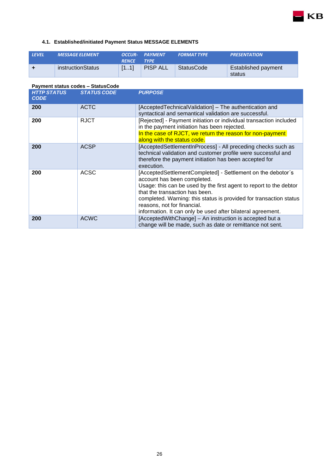<span id="page-25-0"></span>

| <b>LEVEL</b> | <b>MESSAGE ELEMENT</b> | <b>RENCE</b> | OCCUR- PAYMENT<br><b>TYPE</b> | <b>FORMAT TYPE</b> | <b>PRESENTATION</b>           |
|--------------|------------------------|--------------|-------------------------------|--------------------|-------------------------------|
| $\ddot{}$    | instructionStatus      | [11]         | <b>PISP ALL</b>               | StatusCode         | Established payment<br>status |

| Payment status codes - StatusCode |                    |                                                                                                                                                                                                                                                                                                                                                                        |
|-----------------------------------|--------------------|------------------------------------------------------------------------------------------------------------------------------------------------------------------------------------------------------------------------------------------------------------------------------------------------------------------------------------------------------------------------|
| <b>HTTP STATUS</b><br><b>CODE</b> | <b>STATUS CODE</b> | <b>PURPOSE</b>                                                                                                                                                                                                                                                                                                                                                         |
| 200                               | <b>ACTC</b>        | [AcceptedTechnicalValidation] – The authentication and<br>syntactical and semantical validation are successful.                                                                                                                                                                                                                                                        |
| 200                               | <b>RJCT</b>        | [Rejected] - Payment initiation or individual transaction included<br>in the payment initiation has been rejected.<br>In the case of RJCT, we return the reason for non-payment<br>along with the status code.                                                                                                                                                         |
| 200                               | <b>ACSP</b>        | [AcceptedSettlementInProcess] - All preceding checks such as<br>technical validation and customer profile were successful and<br>therefore the payment initiation has been accepted for<br>execution.                                                                                                                                                                  |
| 200                               | <b>ACSC</b>        | [AcceptedSettlementCompleted] - Settlement on the debotor's<br>account has been completed.<br>Usage: this can be used by the first agent to report to the debtor<br>that the transaction has been.<br>completed. Warning: this status is provided for transaction status<br>reasons, not for financial.<br>information. It can only be used after bilateral agreement. |
| 200                               | <b>ACWC</b>        | [AcceptedWithChange] - An instruction is accepted but a<br>change will be made, such as date or remittance not sent.                                                                                                                                                                                                                                                   |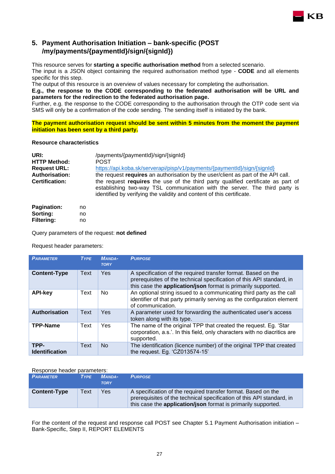### <span id="page-26-0"></span>**5. Payment Authorisation Initiation – bank-specific (POST /my/payments/{paymentId}/sign/{signId})**

This resource serves for **starting a specific authorisation method** from a selected scenario.

The input is a JSON object containing the required authorisation method type - **CODE** and all elements specific for this step.

KB

The output of this resource is an overview of values necessary for completing the authorisation.

**E.g., the response to the CODE corresponding to the federated authorisation will be URL and parameters for the redirection to the federated authorisation page.**

Further, e.g. the response to the CODE corresponding to the authorisation through the OTP code sent via SMS will only be a confirmation of the code sending. The sending itself is initiated by the bank.

**The payment authorisation request should be sent within 5 minutes from the moment the payment initiation has been sent by a third party.**

#### **Resource characteristics**

| URI:                  | /payments/{paymentId}/sign/{signId}                                                                                                                                                                                                     |
|-----------------------|-----------------------------------------------------------------------------------------------------------------------------------------------------------------------------------------------------------------------------------------|
| <b>HTTP Method:</b>   | <b>POST</b>                                                                                                                                                                                                                             |
| <b>Request URL:</b>   | https://api.koba.sk/serverapi/pisp/v1/payments/{paymentId}/sign/{signId}                                                                                                                                                                |
| <b>Authorisation:</b> | the request requires an authorisation by the user/client as part of the API call.                                                                                                                                                       |
| <b>Certification:</b> | the request requires the use of the third party qualified certificate as part of<br>establishing two-way TSL communication with the server. The third party is<br>identified by verifying the validity and content of this certificate. |

| <b>Pagination:</b> | no |
|--------------------|----|
| Sorting:           | no |
| <b>Filtering:</b>  | no |

Query parameters of the request: **not defined**

Request header parameters:

| <b>PARAMETER</b>              | <b>TYPE</b> | <b>MANDA-</b><br><b>TORY</b> | <b>PURPOSE</b>                                                                                                                                                                                          |
|-------------------------------|-------------|------------------------------|---------------------------------------------------------------------------------------------------------------------------------------------------------------------------------------------------------|
| <b>Content-Type</b>           | Text        | <b>Yes</b>                   | A specification of the required transfer format. Based on the<br>prerequisites of the technical specification of this API standard, in<br>this case the application/json format is primarily supported. |
| <b>API-key</b>                | Text        | No.                          | An optional string issued to a communicating third party as the call<br>identifier of that party primarily serving as the configuration element<br>of communication.                                    |
| <b>Authorisation</b>          | Text        | <b>Yes</b>                   | A parameter used for forwarding the authenticated user's access<br>token along with its type.                                                                                                           |
| <b>TPP-Name</b>               | Text        | Yes                          | The name of the original TPP that created the request. Eg. 'Star<br>corporation, a.s.'. In this field, only characters with no diacritics are<br>supported.                                             |
| TPP-<br><b>Identification</b> | Text        | <b>No</b>                    | The identification (licence number) of the original TPP that created<br>the request. Eg. 'CZ013574-15'                                                                                                  |

#### Response header parameters:

| <b>PARAMETER</b>    | <b>TYPE</b> | <b>MANDA-</b><br><b>TORY</b> | <b>PURPOSE</b>                                                                                                                                                                                                 |
|---------------------|-------------|------------------------------|----------------------------------------------------------------------------------------------------------------------------------------------------------------------------------------------------------------|
| <b>Content-Type</b> | Text        | Yes                          | A specification of the required transfer format. Based on the<br>prerequisites of the technical specification of this API standard, in<br>this case the <b>application/json</b> format is primarily supported. |

For the content of the request and response call POST see Chapter [5.1](#page-27-0) Payment Authorisation initiation – Bank-Specific, Step II, REPORT ELEMENTS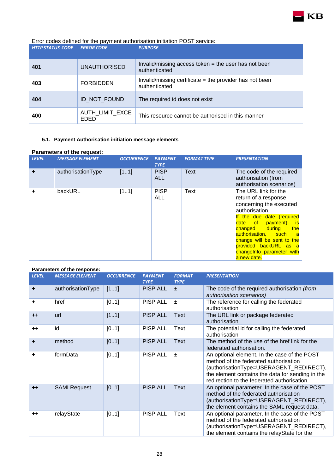

| 401 | <b>UNAUTHORISED</b>            | Invalid/missing access token $=$ the user has not been<br>authenticated    |
|-----|--------------------------------|----------------------------------------------------------------------------|
| 403 | <b>FORBIDDEN</b>               | Invalid/missing certificate $=$ the provider has not been<br>authenticated |
| 404 | ID NOT FOUND                   | The required id does not exist                                             |
| 400 | AUTH_LIMIT_EXCE<br><b>EDED</b> | This resource cannot be authorised in this manner                          |

#### <span id="page-27-0"></span>**5.1. Payment Authorisation initiation message elements**

#### **Parameters of the request:**

| <b>LEVEL</b> | <b>MESSAGE ELEMENT</b> | <b>OCCURRENCE</b> | <b>PAYMENT</b><br><b>TYPE</b> | <b>FORMAT TYPE</b> | <b>PRESENTATION</b>                                                                                                                                                                                                                                                                                                |
|--------------|------------------------|-------------------|-------------------------------|--------------------|--------------------------------------------------------------------------------------------------------------------------------------------------------------------------------------------------------------------------------------------------------------------------------------------------------------------|
| ٠            | authorisationType      | [11]              | <b>PISP</b><br><b>ALL</b>     | Text               | The code of the required<br>authorisation (from<br>authorisation scenarios)                                                                                                                                                                                                                                        |
|              | backURL                | [11]              | <b>PISP</b><br><b>ALL</b>     | Text               | The URL link for the<br>return of a response<br>concerning the executed<br>authorisation.<br>If the due date (required<br>date of payment)<br>⊟is<br><b>changed</b> during<br>the<br>authorisation, such<br>— a<br>change will be sent to the<br>provided backURL as a<br>changelnfo parameter with<br>a new date. |

#### **Parameters of the response:**

|              | . a. ao.o.o o. o .oopooo. |                   |                               |                              |                                                                                                                                                                                                                                     |
|--------------|---------------------------|-------------------|-------------------------------|------------------------------|-------------------------------------------------------------------------------------------------------------------------------------------------------------------------------------------------------------------------------------|
| <b>LEVEL</b> | <b>MESSAGE ELEMENT</b>    | <b>OCCURRENCE</b> | <b>PAYMENT</b><br><b>TYPE</b> | <b>FORMAT</b><br><b>TYPE</b> | <b>PRESENTATION</b>                                                                                                                                                                                                                 |
| ٠            | authorisationType         | [11]              | <b>PISP ALL</b>               | $\pm$                        | The code of the required authorisation (from<br>authorisation scenarios)                                                                                                                                                            |
| ٠            | href                      | [01]              | <b>PISP ALL</b>               | $\pm$                        | The reference for calling the federated<br>authorisation                                                                                                                                                                            |
| $++$         | url                       | [11]              | <b>PISP ALL</b>               | <b>Text</b>                  | The URL link or package federated<br>authorisation                                                                                                                                                                                  |
| $++$         | id                        | [01]              | <b>PISP ALL</b>               | Text                         | The potential id for calling the federated<br>authorisation                                                                                                                                                                         |
| ÷            | method                    | [01]              | <b>PISP ALL</b>               | <b>Text</b>                  | The method of the use of the href link for the<br>federated authorisation.                                                                                                                                                          |
| ٠            | formData                  | [01]              | <b>PISP ALL</b>               | $\pm$                        | An optional element. In the case of the POST<br>method of the federated authorisation<br>(authorisationType=USERAGENT_REDIRECT),<br>the element contains the data for sending in the<br>redirection to the federated authorisation. |
| $++$         | <b>SAMLRequest</b>        | [01]              | <b>PISP ALL</b>               | <b>Text</b>                  | An optional parameter. In the case of the POST<br>method of the federated authorisation<br>(authorisationType=USERAGENT_REDIRECT),<br>the element contains the SAML request data.                                                   |
| $++$         | relayState                | [01]              | <b>PISP ALL</b>               | Text                         | An optional parameter. In the case of the POST<br>method of the federated authorisation<br>(authorisationType=USERAGENT_REDIRECT),<br>the element contains the relayState for the                                                   |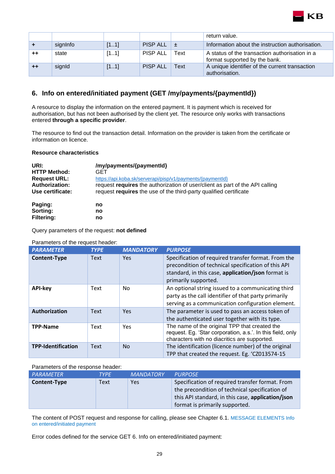

|      |          |      |                   |             | return value.                                                                   |
|------|----------|------|-------------------|-------------|---------------------------------------------------------------------------------|
|      | signInfo | [11] | PISP ALL $\pm$    |             | Information about the instruction authorisation.                                |
| $++$ | state    | [11] | PISP ALL          | Text        | A status of the transaction authorisation in a<br>format supported by the bank. |
| $++$ | signId   | [11] | <b>PISP ALL</b> 1 | <b>Text</b> | A unique identifier of the current transaction<br>authorisation.                |

### <span id="page-28-0"></span>**6. Info on entered/initiated payment (GET /my/payments/{paymentId})**

A resource to display the information on the entered payment. It is payment which is received for authorisation, but has not been authorised by the client yet. The resource only works with transactions entered **through a specific provider**.

The resource to find out the transaction detail. Information on the provider is taken from the certificate or information on licence.

#### **Resource characteristics**

| URI:                  | /my/payments/{paymentId}                                                     |
|-----------------------|------------------------------------------------------------------------------|
| <b>HTTP Method:</b>   | GET                                                                          |
| <b>Request URL:</b>   | https://api.koba.sk/serverapi/pisp/v1/payments/{paymentld}                   |
| <b>Authorization:</b> | request requires the authorization of user/client as part of the API calling |
| Use certificate:      | request requires the use of the third-party qualified certificate            |
| Paging:               | no                                                                           |
| Sorting:              | no                                                                           |

**Filtering: no**

Query parameters of the request: **not defined**

| <b>PARAMETER</b>          | <b>TYPE</b> | <b>MANDATORY</b> | <b>PURPOSE</b>                                                                                                                                                                           |
|---------------------------|-------------|------------------|------------------------------------------------------------------------------------------------------------------------------------------------------------------------------------------|
| <b>Content-Type</b>       | <b>Text</b> | <b>Yes</b>       | Specification of required transfer format. From the<br>precondition of technical specification of this API<br>standard, in this case, application/json format is<br>primarily supported. |
| <b>API-key</b>            | Text        | No.              | An optional string issued to a communicating third<br>party as the call identifier of that party primarily<br>serving as a communication configuration element.                          |
| Authorization             | <b>Text</b> | <b>Yes</b>       | The parameter is used to pass an access token of<br>the authenticated user together with its type.                                                                                       |
| <b>TPP-Name</b>           | Text        | Yes              | The name of the original TPP that created the<br>request. Eg. 'Star corporation, a.s.'. In this field, only<br>characters with no diacritics are supported.                              |
| <b>TPP-Identification</b> | <b>Text</b> | <b>No</b>        | The identification (licence number) of the original<br>TPP that created the request. Eg. 'CZ013574-15                                                                                    |

#### Parameters of the request header:

Parameters of the response header:

| <b>PARAMETER</b> | <b>TYPE</b> | <b>MANDATORY</b> | <b>PURPOSE</b>                                                                                                                                                                           |
|------------------|-------------|------------------|------------------------------------------------------------------------------------------------------------------------------------------------------------------------------------------|
| Content-Type     | Text        | Yes              | Specification of required transfer format. From<br>the precondition of technical specification of<br>this API standard, in this case, application/json<br>format is primarily supported. |

The content of POST request and response for calling, please see Chapter 6.1. [MESSAGE ELEMENTS Info](#page-29-0)  [on entered/initiated payment](#page-29-0)

Error codes defined for the service GET 6. Info on entered/initiated payment: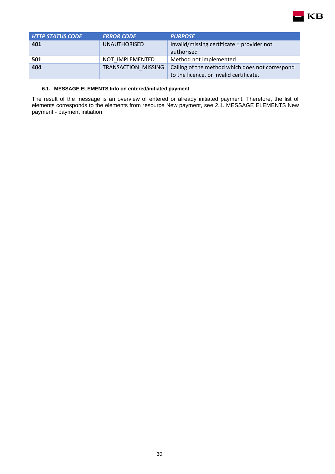

| <b>HTTP STATUS CODE</b> | <b>ERROR CODE</b>   | <b>PURPOSE</b>                                  |
|-------------------------|---------------------|-------------------------------------------------|
| 401                     | <b>UNAUTHORISED</b> | Invalid/missing certificate = provider not      |
|                         |                     | authorised                                      |
| 501                     | NOT IMPLEMENTED     | Method not implemented                          |
| 404                     | TRANSACTION MISSING | Calling of the method which does not correspond |
|                         |                     | to the licence, or invalid certificate.         |

#### **6.1. MESSAGE ELEMENTS Info on entered/initiated payment**

<span id="page-29-0"></span>The result of the message is an overview of entered or already initiated payment. Therefore, the list of elements corresponds to the elements from resource New payment, see 2.1. MESSAGE ELEMENTS New payment - payment initiation.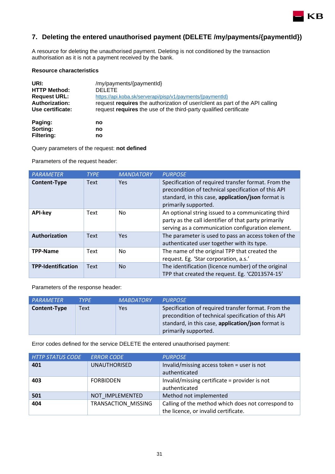

## <span id="page-30-0"></span>**7. Deleting the entered unauthorised payment (DELETE /my/payments/{paymentId})**

A resource for deleting the unauthorised payment. Deleting is not conditioned by the transaction authorisation as it is not a payment received by the bank.

#### **Resource characteristics**

| URI:                  | /my/payments/{paymentId}                                                     |
|-----------------------|------------------------------------------------------------------------------|
| <b>HTTP Method:</b>   | <b>DELETE</b>                                                                |
| <b>Request URL:</b>   | https://api.koba.sk/serverapi/pisp/v1/payments/{paymentld}                   |
| <b>Authorization:</b> | request requires the authorization of user/client as part of the API calling |
| Use certificate:      | request requires the use of the third-party qualified certificate            |
| Paging:               | no                                                                           |
| Sorting:              | no                                                                           |
| <b>Filtering:</b>     | no                                                                           |

Query parameters of the request: **not defined** 

Parameters of the request header:

| <b>PARAMETER</b>          | <b>TYPE</b> | <b>MANDATORY</b> | <b>PURPOSE</b>                                                                                                                                                                           |
|---------------------------|-------------|------------------|------------------------------------------------------------------------------------------------------------------------------------------------------------------------------------------|
| <b>Content-Type</b>       | <b>Text</b> | Yes.             | Specification of required transfer format. From the<br>precondition of technical specification of this API<br>standard, in this case, application/json format is<br>primarily supported. |
| <b>API-key</b>            | Text        | No.              | An optional string issued to a communicating third<br>party as the call identifier of that party primarily<br>serving as a communication configuration element.                          |
| Authorization             | <b>Text</b> | <b>Yes</b>       | The parameter is used to pass an access token of the<br>authenticated user together with its type.                                                                                       |
| <b>TPP-Name</b>           | Text        | No.              | The name of the original TPP that created the<br>request. Eg. 'Star corporation, a.s.'                                                                                                   |
| <b>TPP-Identification</b> | <b>Text</b> | N <sub>o</sub>   | The identification (licence number) of the original<br>TPP that created the request. Eg. 'CZ013574-15'                                                                                   |

Parameters of the response header:

| <b>PARAMETER</b> | <b>TYPF</b> | <b>MABDATORY</b> | <b>PURPOSE</b>                                                                                                                                                                           |
|------------------|-------------|------------------|------------------------------------------------------------------------------------------------------------------------------------------------------------------------------------------|
| Content-Type     | Text        | <b>Yes</b>       | Specification of required transfer format. From the<br>precondition of technical specification of this API<br>standard, in this case, application/json format is<br>primarily supported. |

Error codes defined for the service DELETE the entered unauthorised payment:

| <b>HTTP STATUS CODE</b> | <b>ERROR CODE</b>   | <b>PURPOSE</b>                                                                             |
|-------------------------|---------------------|--------------------------------------------------------------------------------------------|
| 401                     | <b>UNAUTHORISED</b> | Invalid/missing access token = user is not<br>authenticated                                |
| 403                     | <b>FORBIDDEN</b>    | Invalid/missing certificate = provider is not<br>authenticated                             |
| 501                     | NOT IMPLEMENTED     | Method not implemented                                                                     |
| 404                     | TRANSACTION MISSING | Calling of the method which does not correspond to<br>the licence, or invalid certificate. |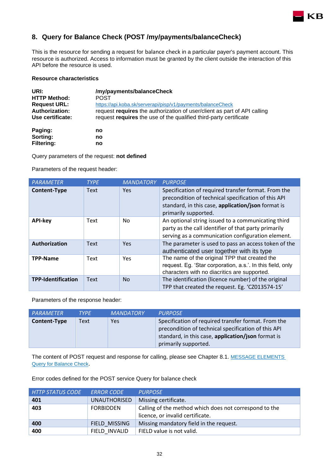## <span id="page-31-0"></span>**8. Query for Balance Check (POST /my/payments/balanceCheck)**

This is the resource for sending a request for balance check in a particular payer's payment account. This resource is authorized. Access to information must be granted by the client outside the interaction of this API before the resource is used.

**KB** 

#### **Resource characteristics**

| URI:                  | /my/payments/balanceCheck                                                |
|-----------------------|--------------------------------------------------------------------------|
| <b>HTTP Method:</b>   | <b>POST</b>                                                              |
| <b>Request URL:</b>   | https://api.koba.sk/serverapi/pisp/v1/payments/balanceCheck              |
| <b>Authorization:</b> | request requires the authorization of user/client as part of API calling |
| Use certificate:      | request requires the use of the qualified third-party certificate        |
| Paging:               | no                                                                       |
| Sorting:              | no                                                                       |
| <b>Filtering:</b>     | no                                                                       |

Query parameters of the request: **not defined** 

Parameters of the request header:

| <b>PARAMETER</b>          | <b>TYPE</b> | <b>MANDATORY</b> | <b>PURPOSE</b>                                                                                                                                                                           |
|---------------------------|-------------|------------------|------------------------------------------------------------------------------------------------------------------------------------------------------------------------------------------|
| <b>Content-Type</b>       | <b>Text</b> | <b>Yes</b>       | Specification of required transfer format. From the<br>precondition of technical specification of this API<br>standard, in this case, application/json format is<br>primarily supported. |
| <b>API-key</b>            | Text        | No.              | An optional string issued to a communicating third<br>party as the call identifier of that party primarily<br>serving as a communication configuration element.                          |
| Authorization             | <b>Text</b> | Yes              | The parameter is used to pass an access token of the<br>authenticated user together with its type                                                                                        |
| <b>TPP-Name</b>           | Text        | <b>Yes</b>       | The name of the original TPP that created the<br>request. Eg. 'Star corporation, a.s.'. In this field, only<br>characters with no diacritics are supported.                              |
| <b>TPP-Identification</b> | <b>Text</b> | <b>No</b>        | The identification (licence number) of the original<br>TPP that created the request. Eg. 'CZ013574-15'                                                                                   |

Parameters of the response header:

| PARAMETER    | <b>TYPE</b> | <b>MANDATORY</b> | <b>PURPOSE</b>                                                                                                                                                                           |
|--------------|-------------|------------------|------------------------------------------------------------------------------------------------------------------------------------------------------------------------------------------|
| Content-Type | Text        | <b>Yes</b>       | Specification of required transfer format. From the<br>precondition of technical specification of this API<br>standard, in this case, application/json format is<br>primarily supported. |

The content of POST request and response for calling, please see Chapter 8.1. MESSAGE ELEMENTS [Query for Balance Check](#page-32-0).

Error codes defined for the POST service Query for balance check

| <b>HTTP STATUS CODE</b> | <b>ERROR CODE</b>   | <b>PURPOSE</b>                                                                             |
|-------------------------|---------------------|--------------------------------------------------------------------------------------------|
| 401                     | <b>UNAUTHORISED</b> | Missing certificate.                                                                       |
| 403                     | <b>FORBIDDEN</b>    | Calling of the method which does not correspond to the<br>licence, or invalid certificate. |
| 400                     | FIELD MISSING       | Missing mandatory field in the request.                                                    |
| 400                     | FIELD INVALID       | FIELD value is not valid.                                                                  |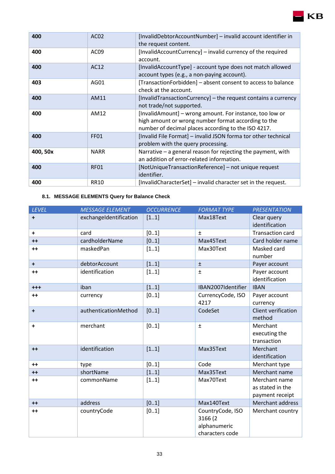| 400      | AC <sub>02</sub> | [InvalidDebtorAccountNumber] - invalid account identifier in<br>the request content.                                                                                   |
|----------|------------------|------------------------------------------------------------------------------------------------------------------------------------------------------------------------|
| 400      | AC09             | [InvalidAccountCurrency] - invalid currency of the required<br>account.                                                                                                |
| 400      | AC12             | [InvalidAccountType] - account type does not match allowed<br>account types (e.g., a non-paying account).                                                              |
| 403      | AG01             | [TransactionForbidden] - absent consent to access to balance<br>check at the account.                                                                                  |
| 400      | AM11             | [InvalidTransactionCurrency] – the request contains a currency<br>not trade/not supported.                                                                             |
| 400      | AM12             | [InvalidAmount] – wrong amount. For instance, too low or<br>high amount or wrong number format according to the<br>number of decimal places according to the ISO 4217. |
| 400      | <b>FF01</b>      | [Invalid File Format] - invalid JSON forma tor other technical<br>problem with the query processing.                                                                   |
| 400, 50x | <b>NARR</b>      | Narrative $-$ a general reason for rejecting the payment, with<br>an addition of error-related information.                                                            |
| 400      | <b>RF01</b>      | [NotUniqueTransactionReference] - not unique request<br>identifier.                                                                                                    |
| 400      | <b>RR10</b>      | [InvalidCharacterSet] - invalid character set in the request.                                                                                                          |

## <span id="page-32-0"></span>**8.1. MESSAGE ELEMENTS Query for Balance Check**

| <b>LEVEL</b> | <b>MESSAGE ELEMENT</b> | <b>OCCURRENCE</b> | <b>FORMAT TYPE</b> | <b>PRESENTATION</b>     |
|--------------|------------------------|-------------------|--------------------|-------------------------|
| $\ddot{}$    | exchangeIdentification | [11]              | Max18Text          | Clear query             |
|              |                        |                   |                    | identification          |
| $\ddot{}$    | card                   | [01]              | $\pm$              | <b>Transaction card</b> |
| $++$         | cardholderName         | [01]              | Max45Text          | Card holder name        |
| $++$         | maskedPan              | [11]              | Max30Text          | Masked card             |
|              |                        |                   |                    | number                  |
| $+$          | debtorAccount          | [11]              | $\pm$              | Payer account           |
| $++$         | identification         | [11]              | $\pm$              | Payer account           |
|              |                        |                   |                    | identification          |
| $^{+++}$     | iban                   | [11]              | IBAN2007Identifier | <b>IBAN</b>             |
| $++$         | currency               | [01]              | CurrencyCode, ISO  | Payer account           |
|              |                        |                   | 4217               | currency                |
| $\ddot{}$    | authenticationMethod   | [01]              | CodeSet            | Client verification     |
|              |                        |                   |                    | method                  |
| $\ddot{}$    | merchant               | [01]              | $\pm$              | Merchant                |
|              |                        |                   |                    | executing the           |
|              |                        |                   |                    | transaction             |
| $++$         | identification         | [11]              | Max35Text          | Merchant                |
|              |                        |                   |                    | identification          |
| $++$         | type                   | [01]              | Code               | Merchant type           |
| $++$         | shortName              | [11]              | Max35Text          | Merchant name           |
| $++$         | commonName             | [11]              | Max70Text          | Merchant name           |
|              |                        |                   |                    | as stated in the        |
|              |                        |                   |                    | payment receipt         |
| $++$         | address                | [01]              | Max140Text         | Merchant address        |
| $++$         | countryCode            | [01]              | CountryCode, ISO   | Merchant country        |
|              |                        |                   | 3166 (2            |                         |
|              |                        |                   | alphanumeric       |                         |
|              |                        |                   | characters code    |                         |